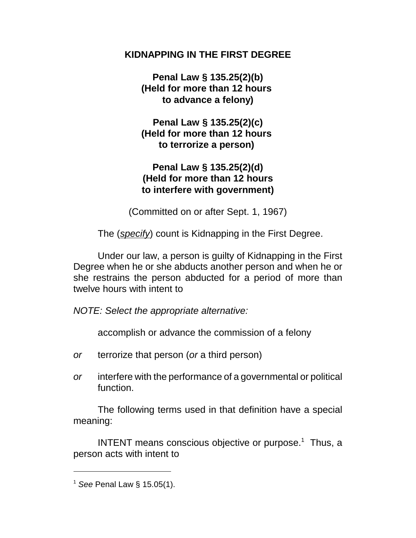## **KIDNAPPING IN THE FIRST DEGREE**

**Penal Law § 135.25(2)(b) (Held for more than 12 hours to advance a felony)**

**Penal Law § 135.25(2)(c) (Held for more than 12 hours to terrorize a person)** 

## **Penal Law § 135.25(2)(d) (Held for more than 12 hours to interfere with government)**

(Committed on or after Sept. 1, 1967)

The (*specify*) count is Kidnapping in the First Degree.

Under our law, a person is guilty of Kidnapping in the First Degree when he or she abducts another person and when he or she restrains the person abducted for a period of more than twelve hours with intent to

*NOTE: Select the appropriate alternative:*

accomplish or advance the commission of a felony

- *or* terrorize that person (*or* a third person)
- *or* interfere with the performance of a governmental or political function.

The following terms used in that definition have a special meaning:

INTENT means conscious objective or purpose. $1$  Thus, a person acts with intent to

<sup>1</sup> *See* Penal Law § 15.05(1).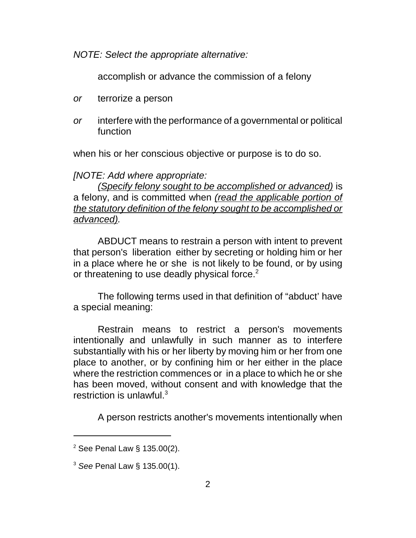*NOTE: Select the appropriate alternative:*

accomplish or advance the commission of a felony

- *or* terrorize a person
- *or* interfere with the performance of a governmental or political function

when his or her conscious objective or purpose is to do so.

*[NOTE: Add where appropriate:*

*(Specify felony sought to be accomplished or advanced)* is a felony, and is committed when *(read the applicable portion of the statutory definition of the felony sought to be accomplished or advanced).*

ABDUCT means to restrain a person with intent to prevent that person's liberation either by secreting or holding him or her in a place where he or she is not likely to be found, or by using or threatening to use deadly physical force.<sup>2</sup>

The following terms used in that definition of "abduct' have a special meaning:

Restrain means to restrict a person's movements intentionally and unlawfully in such manner as to interfere substantially with his or her liberty by moving him or her from one place to another, or by confining him or her either in the place where the restriction commences or in a place to which he or she has been moved, without consent and with knowledge that the restriction is unlawful.<sup>3</sup>

A person restricts another's movements intentionally when

 $2$  See Penal Law § 135.00(2).

<sup>3</sup> *See* Penal Law § 135.00(1).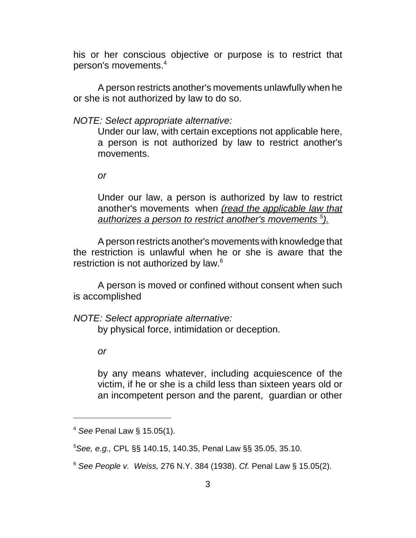his or her conscious objective or purpose is to restrict that person's movements.<sup>4</sup>

A person restricts another's movements unlawfully when he or she is not authorized by law to do so.

*NOTE: Select appropriate alternative:*

Under our law, with certain exceptions not applicable here, a person is not authorized by law to restrict another's movements.

*or*

Under our law, a person is authorized by law to restrict another's movements when *(read the applicable law that authorizes a person to restrict another's movements <sup>5</sup> ).*

A person restricts another's movements with knowledge that the restriction is unlawful when he or she is aware that the restriction is not authorized by law.<sup>6</sup>

A person is moved or confined without consent when such is accomplished

*NOTE: Select appropriate alternative:*

by physical force, intimidation or deception.

*or*

by any means whatever, including acquiescence of the victim, if he or she is a child less than sixteen years old or an incompetent person and the parent, guardian or other

<sup>4</sup> *See* Penal Law § 15.05(1).

<sup>5</sup>*See, e.g.,* CPL §§ 140.15, 140.35, Penal Law §§ 35.05, 35.10.

<sup>6</sup> *See People v. Weiss,* 276 N.Y. 384 (1938). *Cf.* Penal Law § 15.05(2).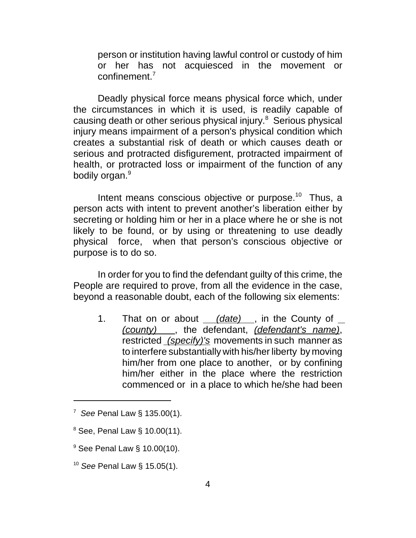person or institution having lawful control or custody of him or her has not acquiesced in the movement or confinement.<sup>7</sup>

Deadly physical force means physical force which, under the circumstances in which it is used, is readily capable of causing death or other serious physical injury.<sup>8</sup> Serious physical injury means impairment of a person's physical condition which creates a substantial risk of death or which causes death or serious and protracted disfigurement, protracted impairment of health, or protracted loss or impairment of the function of any bodily organ.<sup>9</sup>

Intent means conscious objective or purpose.<sup>10</sup> Thus, a person acts with intent to prevent another's liberation either by secreting or holding him or her in a place where he or she is not likely to be found, or by using or threatening to use deadly physical force, when that person's conscious objective or purpose is to do so.

In order for you to find the defendant guilty of this crime, the People are required to prove, from all the evidence in the case, beyond a reasonable doubt, each of the following six elements:

1. That on or about *(date)* , in the County of *(county)* , the defendant, *(defendant's name)*, restricted *(specify)'s* movements in such manner as to interfere substantially with his/her liberty by moving him/her from one place to another, or by confining him/her either in the place where the restriction commenced or in a place to which he/she had been

<sup>7</sup> *See* Penal Law § 135.00(1).

 $8$  See, Penal Law § 10.00(11).

 $9$  See Penal Law  $\S$  10.00(10).

<sup>10</sup> *See* Penal Law § 15.05(1).